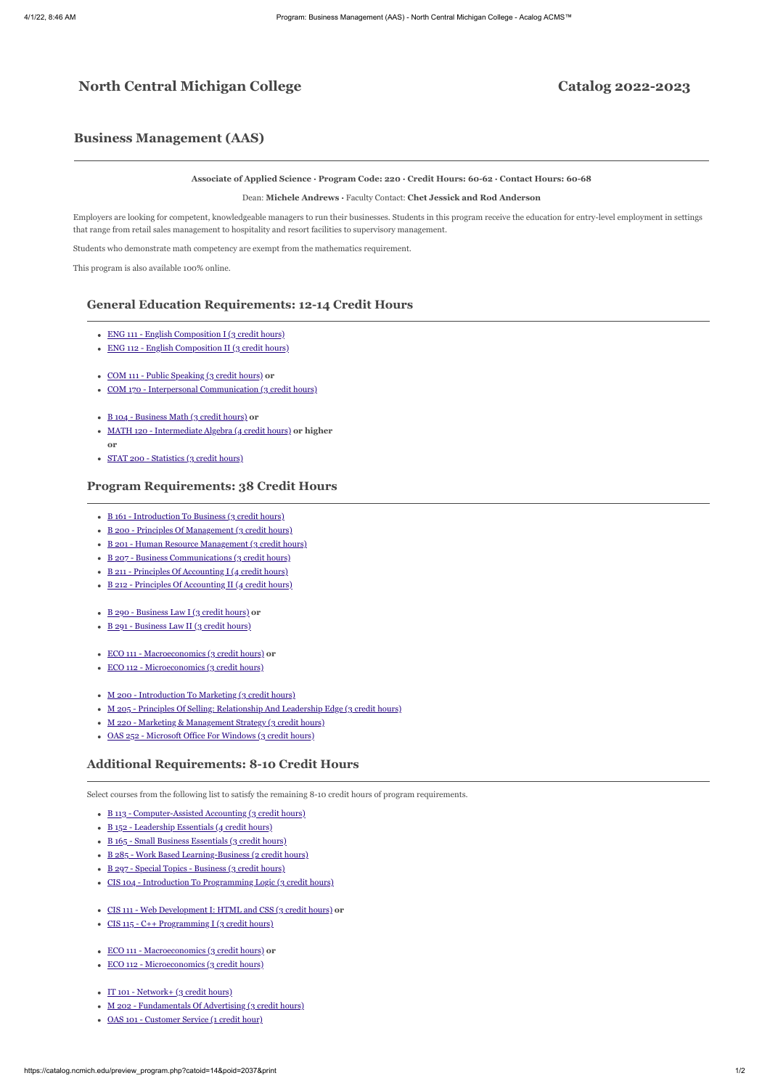# **North Central Michigan College Catalog 2022-2023**

## **Business Management (AAS)**

#### **Associate of Applied Science ∙ Program Code: 220 · Credit Hours: 60-62 ∙ Contact Hours: 60-68**

Dean: **Michele Andrews ·** Faculty Contact: **Chet Jessick and Rod Anderson**

Employers are looking for competent, knowledgeable managers to run their businesses. Students in this program receive the education for entry-level employment in settings that range from retail sales management to hospitality and resort facilities to supervisory management.

Students who demonstrate math competency are exempt from the mathematics requirement.

This program is also available 100% online.

#### **General Education Requirements: 12-14 Credit Hours**

- ENG 111 English Composition I (3 credit hours)
- ENG 112 English Composition II (3 credit hours)
- COM 111 Public Speaking (3 credit hours) **or**
- COM 170 Interpersonal Communication (3 credit hours)
- B 104 Business Math (3 credit hours) **or**
- MATH 120 Intermediate Algebra (4 credit hours) **or higher or**
- STAT 200 Statistics (3 credit hours)

#### **Program Requirements: 38 Credit Hours**

- B 161 Introduction To Business (3 credit hours)
- B 200 Principles Of Management (3 credit hours)
- B 201 Human Resource Management (3 credit hours)
- B 207 Business Communications (3 credit hours)
- B 211 Principles Of Accounting I (4 credit hours)
- B 212 Principles Of Accounting II (4 credit hours)  $\bullet$
- B 290 Business Law I (3 credit hours) **or**
- B 291 Business Law II (3 credit hours)
- ECO 111 Macroeconomics (3 credit hours) **or**  $\bullet$
- ECO 112 Microeconomics (3 credit hours)  $\bullet$
- M 200 Introduction To Marketing (3 credit hours)
- M 205 Principles Of Selling: Relationship And Leadership Edge (3 credit hours)  $\bullet$
- M 220 Marketing & Management Strategy (3 credit hours)
- OAS 252 Microsoft Office For Windows (3 credit hours)

#### **Additional Requirements: 8-10 Credit Hours**

Select courses from the following list to satisfy the remaining 8-10 credit hours of program requirements.

- B 113 Computer-Assisted Accounting (3 credit hours)
- B 152 Leadership Essentials (4 credit hours)  $\bullet$
- B 165 Small Business Essentials (3 credit hours)
- B 285 Work Based Learning-Business (2 credit hours)
- B 297 Special Topics Business (3 credit hours)
- CIS 104 Introduction To Programming Logic (3 credit hours)
- CIS 111 Web Development I: HTML and CSS (3 credit hours) **or**
- $\cdot$  CIS 115 C++ Programming I (3 credit hours)
- ECO 111 Macroeconomics (3 credit hours) **or**
- ECO 112 Microeconomics (3 credit hours)  $\bullet$
- IT 101 Network+ (3 credit hours)
- M 202 Fundamentals Of Advertising (3 credit hours)
- OAS 101 Customer Service (1 credit hour)